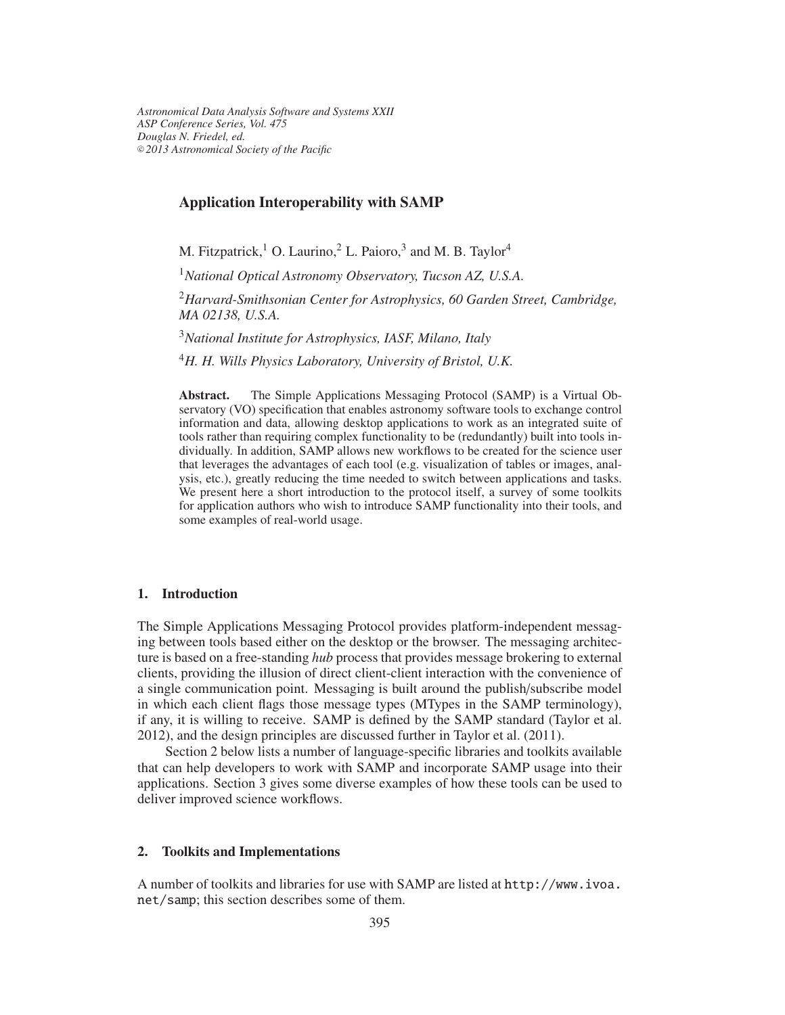*Astronomical Data Analysis Software and Systems XXII ASP Conference Series, Vol. 475 Douglas N. Friedel, ed.* <sup>c</sup> *2013 Astronomical Society of the Pacific*

#### **Application Interoperability with SAMP**

M. Fitzpatrick,<sup>1</sup> O. Laurino,<sup>2</sup> L. Paioro,<sup>3</sup> and M. B. Taylor<sup>4</sup>

<sup>1</sup>*National Optical Astronomy Observatory, Tucson AZ, U.S.A.*

<sup>2</sup>*Harvard-Smithsonian Center for Astrophysics, 60 Garden Street, Cambridge, MA 02138, U.S.A.*

<sup>3</sup>*National Institute for Astrophysics, IASF, Milano, Italy*

<sup>4</sup>*H. H. Wills Physics Laboratory, University of Bristol, U.K.*

**Abstract.** The Simple Applications Messaging Protocol (SAMP) is a Virtual Observatory (VO) specification that enables astronomy software tools to exchange control information and data, allowing desktop applications to work as an integrated suite of tools rather than requiring complex functionality to be (redundantly) built into tools individually. In addition, SAMP allows new workflows to be created for the science user that leverages the advantages of each tool (e.g. visualization of tables or images, analysis, etc.), greatly reducing the time needed to switch between applications and tasks. We present here a short introduction to the protocol itself, a survey of some toolkits for application authors who wish to introduce SAMP functionality into their tools, and some examples of real-world usage.

#### **1. Introduction**

The Simple Applications Messaging Protocol provides platform-independent messaging between tools based either on the desktop or the browser. The messaging architecture is based on a free-standing *hub* process that provides message brokering to external clients, providing the illusion of direct client-client interaction with the convenience of a single communication point. Messaging is built around the publish/subscribe model in which each client flags those message types (MTypes in the SAMP terminology), if any, it is willing to receive. SAMP is defined by the SAMP standard (Taylor et al. 2012), and the design principles are discussed further in Taylor et al. (2011).

Section 2 below lists a number of language-specific libraries and toolkits available that can help developers to work with SAMP and incorporate SAMP usage into their applications. Section 3 gives some diverse examples of how these tools can be used to deliver improved science workflows.

### **2. Toolkits and Implementations**

A number of toolkits and libraries for use with SAMP are listed at http://www.ivoa. net/samp; this section describes some of them.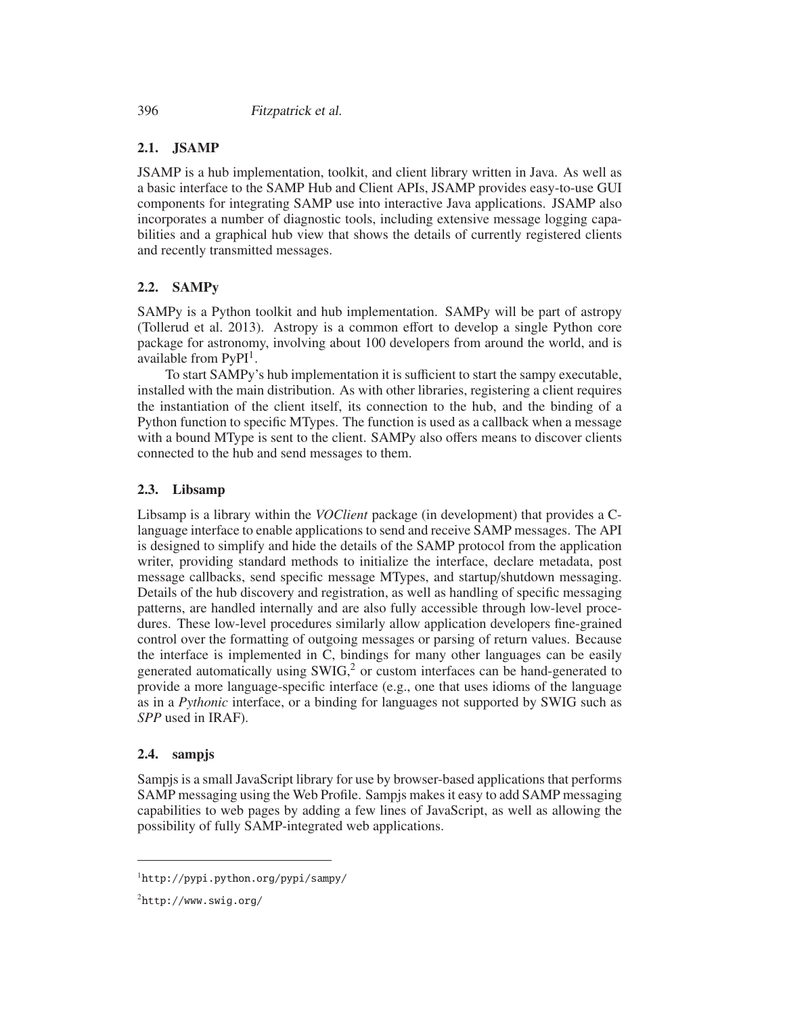## **2.1. JSAMP**

JSAMP is a hub implementation, toolkit, and client library written in Java. As well as a basic interface to the SAMP Hub and Client APIs, JSAMP provides easy-to-use GUI components for integrating SAMP use into interactive Java applications. JSAMP also incorporates a number of diagnostic tools, including extensive message logging capabilities and a graphical hub view that shows the details of currently registered clients and recently transmitted messages.

# **2.2. SAMPy**

SAMPy is a Python toolkit and hub implementation. SAMPy will be part of astropy (Tollerud et al. 2013). Astropy is a common effort to develop a single Python core package for astronomy, involving about 100 developers from around the world, and is available from  $PyPI<sup>1</sup>$ .

To start SAMPy's hub implementation it is sufficient to start the sampy executable, installed with the main distribution. As with other libraries, registering a client requires the instantiation of the client itself, its connection to the hub, and the binding of a Python function to specific MTypes. The function is used as a callback when a message with a bound MType is sent to the client. SAMPy also offers means to discover clients connected to the hub and send messages to them.

### **2.3. Libsamp**

Libsamp is a library within the *VOClient* package (in development) that provides a Clanguage interface to enable applications to send and receive SAMP messages. The API is designed to simplify and hide the details of the SAMP protocol from the application writer, providing standard methods to initialize the interface, declare metadata, post message callbacks, send specific message MTypes, and startup/shutdown messaging. Details of the hub discovery and registration, as well as handling of specific messaging patterns, are handled internally and are also fully accessible through low-level procedures. These low-level procedures similarly allow application developers fine-grained control over the formatting of outgoing messages or parsing of return values. Because the interface is implemented in C, bindings for many other languages can be easily generated automatically using  $SWIG<sup>2</sup>$  or custom interfaces can be hand-generated to provide a more language-specific interface (e.g., one that uses idioms of the language as in a *Pythonic* interface, or a binding for languages not supported by SWIG such as *SPP* used in IRAF).

### **2.4. sampjs**

Sampjs is a small JavaScript library for use by browser-based applications that performs SAMP messaging using the Web Profile. Sampjs makes it easy to add SAMP messaging capabilities to web pages by adding a few lines of JavaScript, as well as allowing the possibility of fully SAMP-integrated web applications.

<sup>1</sup>http://pypi.python.org/pypi/sampy/

<sup>2</sup>http://www.swig.org/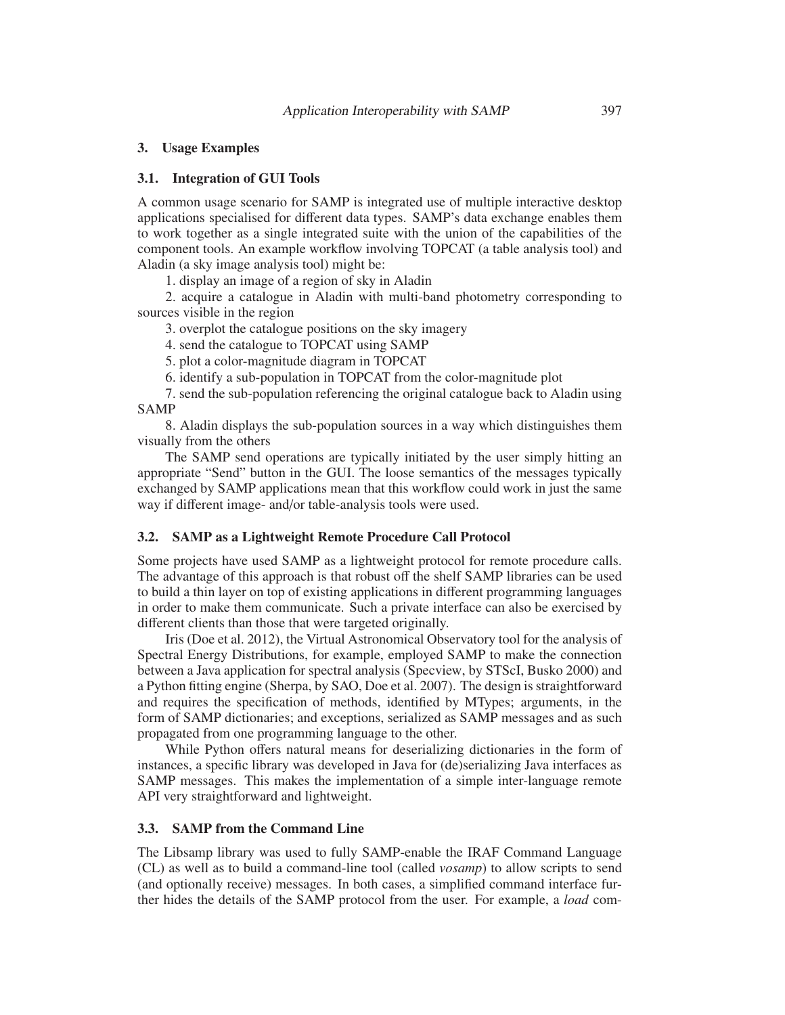#### **3. Usage Examples**

#### **3.1. Integration of GUI Tools**

A common usage scenario for SAMP is integrated use of multiple interactive desktop applications specialised for different data types. SAMP's data exchange enables them to work together as a single integrated suite with the union of the capabilities of the component tools. An example workflow involving TOPCAT (a table analysis tool) and Aladin (a sky image analysis tool) might be:

1. display an image of a region of sky in Aladin

2. acquire a catalogue in Aladin with multi-band photometry corresponding to sources visible in the region

3. overplot the catalogue positions on the sky imagery

4. send the catalogue to TOPCAT using SAMP

5. plot a color-magnitude diagram in TOPCAT

6. identify a sub-population in TOPCAT from the color-magnitude plot

7. send the sub-population referencing the original catalogue back to Aladin using SAMP

8. Aladin displays the sub-population sources in a way which distinguishes them visually from the others

The SAMP send operations are typically initiated by the user simply hitting an appropriate "Send" button in the GUI. The loose semantics of the messages typically exchanged by SAMP applications mean that this workflow could work in just the same way if different image- and/or table-analysis tools were used.

### **3.2. SAMP as a Lightweight Remote Procedure Call Protocol**

Some projects have used SAMP as a lightweight protocol for remote procedure calls. The advantage of this approach is that robust off the shelf SAMP libraries can be used to build a thin layer on top of existing applications in different programming languages in order to make them communicate. Such a private interface can also be exercised by different clients than those that were targeted originally.

Iris (Doe et al. 2012), the Virtual Astronomical Observatory tool for the analysis of Spectral Energy Distributions, for example, employed SAMP to make the connection between a Java application for spectral analysis (Specview, by STScI, Busko 2000) and a Python fitting engine (Sherpa, by SAO, Doe et al. 2007). The design is straightforward and requires the specification of methods, identified by MTypes; arguments, in the form of SAMP dictionaries; and exceptions, serialized as SAMP messages and as such propagated from one programming language to the other.

While Python offers natural means for deserializing dictionaries in the form of instances, a specific library was developed in Java for (de)serializing Java interfaces as SAMP messages. This makes the implementation of a simple inter-language remote API very straightforward and lightweight.

#### **3.3. SAMP from the Command Line**

The Libsamp library was used to fully SAMP-enable the IRAF Command Language (CL) as well as to build a command-line tool (called *vosamp*) to allow scripts to send (and optionally receive) messages. In both cases, a simplified command interface further hides the details of the SAMP protocol from the user. For example, a *load* com